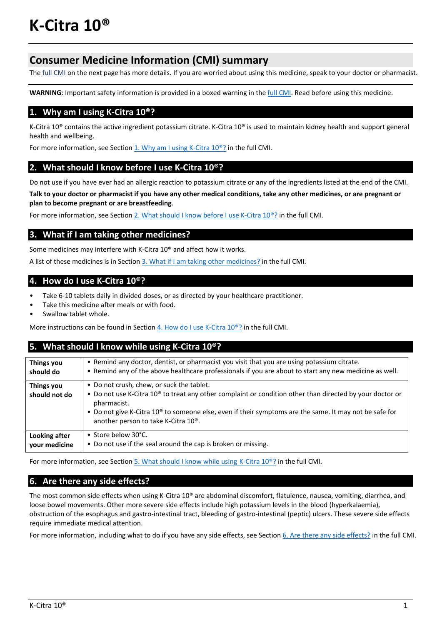# **Consumer Medicine Information (CMI) summary**

The full CMI on the next page has more details. If you are worried about using this medicine, speak to your doctor or pharmacist.

WARNING: Important safety information is provided in a boxed warning in the *full CMI*. Read before using this medicine.

## **1. Why am I using K‐Citra 10®?**

K‐Citra 10® contains the active ingredient potassium citrate. K‐Citra 10® is used to maintain kidney health and support general health and wellbeing.

For more information, see Section 1. Why am I using K-Citra 10<sup>®</sup>? in the full CMI.

## **2. What should I know before I use K‐Citra 10®?**

Do not use if you have ever had an allergic reaction to potassium citrate or any of the ingredients listed at the end of the CMI.

Talk to your doctor or pharmacist if you have any other medical conditions, take any other medicines, or are pregnant or **plan to become pregnant or are breastfeeding**.

For more information, see Section 2. What should I know before I use K-Citra 10®? in the full CMI.

# **3. What if I am taking other medicines?**

Some medicines may interfere with K-Citra 10<sup>®</sup> and affect how it works.

A list of these medicines is in Section 3. What if I am taking other medicines? in the full CMI.

## **4. How do I use K‐Citra 10®?**

- Take 6-10 tablets daily in divided doses, or as directed by your healthcare practitioner.
- Take this medicine after meals or with food.
- Swallow tablet whole.

More instructions can be found in Section  $4.$  How do I use K-Citra  $10^{\circ}$ ? in the full CMI.

# **5. What should I know while using K‐Citra 10®?**

| Things you                  | . Remind any doctor, dentist, or pharmacist you visit that you are using potassium citrate.                                                                                                                                                                                                                                                                |
|-----------------------------|------------------------------------------------------------------------------------------------------------------------------------------------------------------------------------------------------------------------------------------------------------------------------------------------------------------------------------------------------------|
| should do                   | • Remind any of the above healthcare professionals if you are about to start any new medicine as well.                                                                                                                                                                                                                                                     |
| Things you<br>should not do | • Do not crush, chew, or suck the tablet.<br>• Do not use K-Citra 10 <sup>®</sup> to treat any other complaint or condition other than directed by your doctor or<br>pharmacist.<br>• Do not give K-Citra 10 <sup>®</sup> to someone else, even if their symptoms are the same. It may not be safe for<br>another person to take K-Citra 10 <sup>®</sup> . |
| Looking after               | • Store below 30°C.                                                                                                                                                                                                                                                                                                                                        |
| vour medicine               | • Do not use if the seal around the cap is broken or missing.                                                                                                                                                                                                                                                                                              |

For more information, see Section 5. What should I know while using K-Citra 10<sup>®</sup>? in the full CMI.

# **6. Are there any side effects?**

The most common side effects when using K‐Citra 10® are abdominal discomfort, flatulence, nausea, vomiting, diarrhea, and loose bowel movements. Other more severe side effects include high potassium levels in the blood (hyperkalaemia), obstruction of the esophagus and gastro‐intestinal tract, bleeding of gastro‐intestinal (peptic) ulcers. These severe side effects require immediate medical attention.

For more information, including what to do if you have any side effects, see Section 6. Are there any side effects? in the full CMI.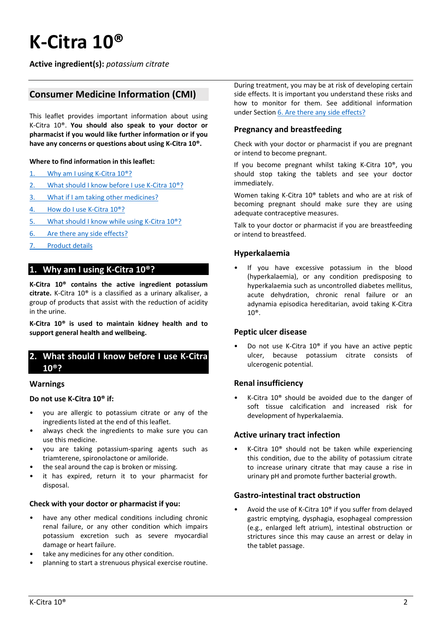# **K‐Citra 10®**

**Active ingredient(s):** *potassium citrate*

# **Consumer Medicine Information (CMI)**

This leaflet provides important information about using K‐Citra 10®. **You should also speak to your doctor or pharmacist if you would like further information or if you have any concerns or questions about using K‐Citra 10®.**

#### **Where to find information in this leaflet:**

- 1. Why am I using K-Citra 10<sup>®</sup>?
- 2. What should I know before I use K-Citra 10<sup>®</sup>?
- 3. What if I am taking other medicines?
- 4. How do I use K-Citra 10<sup>®</sup>?
- 5. What should I know while using K-Citra 10<sup>®</sup>?
- 6. Are there any side effects?
- 7. Product details

## **1. Why am I using K‐Citra 10®?**

**K‐Citra 10® contains the active ingredient potassium citrate.** K‐Citra 10® is a classified as a urinary alkaliser, a group of products that assist with the reduction of acidity in the urine.

**K‐Citra 10® is used to maintain kidney health and to support general health and wellbeing.**

## **2. What should I know before I use K‐Citra 10®?**

#### **Warnings**

#### **Do not use K‐Citra 10® if:**

- you are allergic to potassium citrate or any of the ingredients listed at the end of this leaflet.
- always check the ingredients to make sure you can use this medicine.
- you are taking potassium‐sparing agents such as triamterene, spironolactone or amiloride.
- the seal around the cap is broken or missing.
- it has expired, return it to your pharmacist for disposal.

#### **Check with your doctor or pharmacist if you:**

- have any other medical conditions including chronic renal failure, or any other condition which impairs potassium excretion such as severe myocardial damage or heart failure.
- take any medicines for any other condition.
- planning to start a strenuous physical exercise routine.

During treatment, you may be at risk of developing certain side effects. It is important you understand these risks and how to monitor for them. See additional information under Section 6. Are there any side effects?

#### **Pregnancy and breastfeeding**

Check with your doctor or pharmacist if you are pregnant or intend to become pregnant.

If you become pregnant whilst taking K‐Citra 10®, you should stop taking the tablets and see your doctor immediately.

Women taking K‐Citra 10® tablets and who are at risk of becoming pregnant should make sure they are using adequate contraceptive measures.

Talk to your doctor or pharmacist if you are breastfeeding or intend to breastfeed.

#### **Hyperkalaemia**

If you have excessive potassium in the blood (hyperkalaemia), or any condition predisposing to hyperkalaemia such as uncontrolled diabetes mellitus, acute dehydration, chronic renal failure or an adynamia episodica hereditarian, avoid taking K‐Citra 10®.

#### **Peptic ulcer disease**

• Do not use K‐Citra 10® if you have an active peptic ulcer, because potassium citrate consists of ulcerogenic potential.

#### **Renal insufficiency**

• K‐Citra 10® should be avoided due to the danger of soft tissue calcification and increased risk for development of hyperkalaemia.

#### **Active urinary tract infection**

• K‐Citra 10® should not be taken while experiencing this condition, due to the ability of potassium citrate to increase urinary citrate that may cause a rise in urinary pH and promote further bacterial growth.

#### **Gastro‐intestinal tract obstruction**

• Avoid the use of K‐Citra 10® if you suffer from delayed gastric emptying, dysphagia, esophageal compression (e.g., enlarged left atrium), intestinal obstruction or strictures since this may cause an arrest or delay in the tablet passage.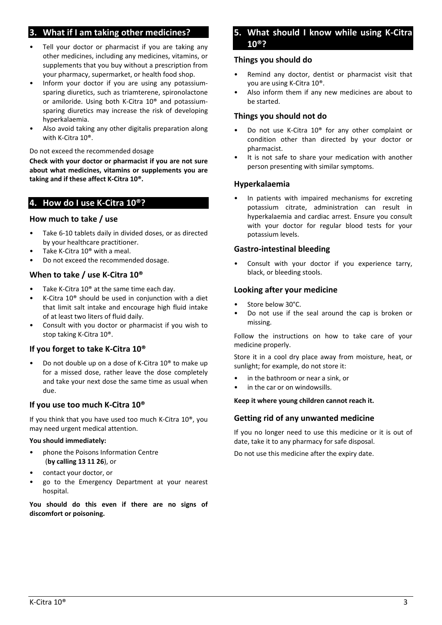# **3. What if I am taking other medicines?**

- Tell your doctor or pharmacist if you are taking any other medicines, including any medicines, vitamins, or supplements that you buy without a prescription from your pharmacy, supermarket, or health food shop.
- Inform your doctor if you are using any potassiumsparing diuretics, such as triamterene, spironolactone or amiloride. Using both K‐Citra 10® and potassium‐ sparing diuretics may increase the risk of developing hyperkalaemia.
- Also avoid taking any other digitalis preparation along with K‐Citra 10®.

Do not exceed the recommended dosage

**Check with your doctor or pharmacist if you are not sure about what medicines, vitamins or supplements you are taking and if these affect K‐Citra 10®.**

## **4. How do I use K‐Citra 10®?**

#### **How much to take / use**

- Take 6‐10 tablets daily in divided doses, or as directed by your healthcare practitioner.
- Take K-Citra 10<sup>®</sup> with a meal.
- Do not exceed the recommended dosage.

### **When to take / use K‐Citra 10®**

- Take K-Citra 10<sup>®</sup> at the same time each day.
- K‐Citra 10® should be used in conjunction with a diet that limit salt intake and encourage high fluid intake of at least two liters of fluid daily.
- Consult with you doctor or pharmacist if you wish to stop taking K‐Citra 10®.

### **If you forget to take K‐Citra 10®**

• Do not double up on a dose of K‐Citra 10® to make up for a missed dose, rather leave the dose completely and take your next dose the same time as usual when due.

#### **If you use too much K‐Citra 10®**

If you think that you have used too much K‐Citra 10®, you may need urgent medical attention.

#### **You should immediately:**

- phone the Poisons Information Centre (**by calling 13 11 26**), or
- contact your doctor, or
- go to the Emergency Department at your nearest hospital.

**You should do this even if there are no signs of discomfort or poisoning.** 

## **5. What should I know while using K‐Citra 10®?**

#### **Things you should do**

- Remind any doctor, dentist or pharmacist visit that you are using K‐Citra 10®.
- Also inform them if any new medicines are about to be started.

#### **Things you should not do**

- Do not use K‐Citra 10® for any other complaint or condition other than directed by your doctor or pharmacist.
- It is not safe to share your medication with another person presenting with similar symptoms.

#### **Hyperkalaemia**

In patients with impaired mechanisms for excreting potassium citrate, administration can result in hyperkalaemia and cardiac arrest. Ensure you consult with your doctor for regular blood tests for your potassium levels.

#### **Gastro‐intestinal bleeding**

Consult with your doctor if you experience tarry, black, or bleeding stools.

#### **Looking after your medicine**

- Store below 30°C.
- Do not use if the seal around the cap is broken or missing.

Follow the instructions on how to take care of your medicine properly.

Store it in a cool dry place away from moisture, heat, or sunlight; for example, do not store it:

- in the bathroom or near a sink, or
- in the car or on windowsills.

#### **Keep it where young children cannot reach it.**

### **Getting rid of any unwanted medicine**

If you no longer need to use this medicine or it is out of date, take it to any pharmacy for safe disposal.

Do not use this medicine after the expiry date.